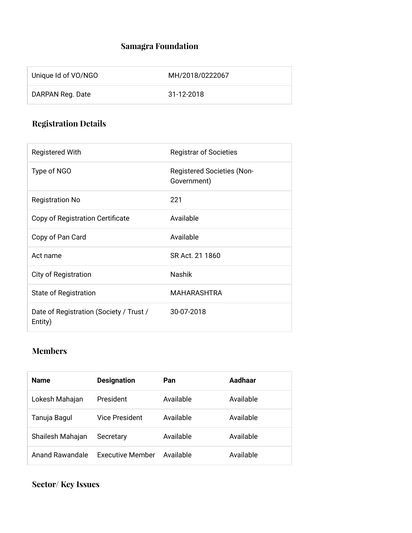## **Samagra Foundation**

| Unique Id of VO/NGO | MH/2018/0222067 |
|---------------------|-----------------|
| DARPAN Reg. Date    | 31-12-2018      |

# **Registration Details**

| <b>Registered With</b>                             | <b>Registrar of Societies</b>                    |
|----------------------------------------------------|--------------------------------------------------|
| Type of NGO                                        | <b>Registered Societies (Non-</b><br>Government) |
| <b>Registration No</b>                             | 221                                              |
| Copy of Registration Certificate                   | Available                                        |
| Copy of Pan Card                                   | Available                                        |
| Act name                                           | SR Act. 21 1860                                  |
| City of Registration                               | Nashik                                           |
| State of Registration                              | <b>MAHARASHTRA</b>                               |
| Date of Registration (Society / Trust /<br>Entity) | 30-07-2018                                       |

## **Members**

| <b>Name</b>      | <b>Designation</b> | Pan       | Aadhaar   |
|------------------|--------------------|-----------|-----------|
| Lokesh Mahajan   | President          | Available | Available |
| Tanuja Bagul     | Vice President     | Available | Available |
| Shailesh Mahajan | Secretary          | Available | Available |
| Anand Rawandale  | Executive Member   | Available | Available |

**Sector/ Key Issues**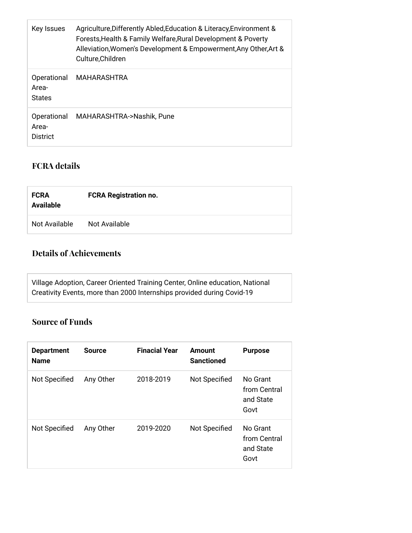| Key Issues                            | Agriculture, Differently Abled, Education & Literacy, Environment &<br>Forests, Health & Family Welfare, Rural Development & Poverty<br>Alleviation, Women's Development & Empowerment, Any Other, Art &<br>Culture, Children |
|---------------------------------------|-------------------------------------------------------------------------------------------------------------------------------------------------------------------------------------------------------------------------------|
| Operational<br>Area-<br><b>States</b> | MAHARASHTRA                                                                                                                                                                                                                   |
| Operational<br>Area-<br>District      | MAHARASHTRA->Nashik, Pune                                                                                                                                                                                                     |

#### **FCRA details**

| <b>FCRA</b><br><b>Available</b> | <b>FCRA Registration no.</b> |
|---------------------------------|------------------------------|
| Not Available                   | Not Available                |

## **Details of Achievements**

Village Adoption, Career Oriented Training Center, Online education, National Creativity Events, more than 2000 Internships provided during Covid-19

#### **Source of Funds**

| <b>Department</b><br><b>Name</b> | <b>Source</b> | <b>Finacial Year</b> | Amount<br><b>Sanctioned</b> | <b>Purpose</b>                                |
|----------------------------------|---------------|----------------------|-----------------------------|-----------------------------------------------|
| Not Specified                    | Any Other     | 2018-2019            | Not Specified               | No Grant<br>from Central<br>and State<br>Govt |
| <b>Not Specified</b>             | Any Other     | 2019-2020            | <b>Not Specified</b>        | No Grant<br>from Central<br>and State<br>Govt |